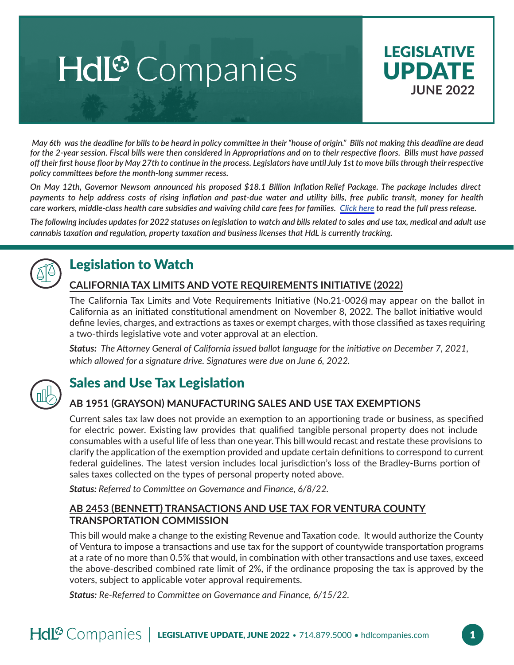# Hdl<sup>®</sup> Companies



 *May 6th was the deadline for bills to be heard in policy committee in their "house of origin." Bills not making this deadline are dead for the 2-year session. Fiscal bills were then considered in Appropriations and on to their respective floors. Bills must have passed off their first house floor by May 27th to continue in the process. Legislators have until July 1st to move bills through their respective policy committees before the month-long summer recess.* 

*On May 12th, Governor Newsom announced his proposed \$18.1 Billion Inflation Relief Package. The package includes direct payments to help address costs of rising inflation and past-due water and utility bills, free public transit, money for health care workers, middle-class health care subsidies and waiving child care fees for families. [Click here](https://www.gov.ca.gov/2022/05/12/governor-newsom-proposes-18-1-billion-inflation-relief-package/) to read the full press release.* 

*The following includes updates for 2022 statuses on legislation to watch and bills related to sales and use tax, medical and adult use cannabis taxation and regulation, property taxation and business licenses that HdL is currently tracking.*



# Legislation to Watch

### **CALIFORNIA TAX LIMITS AND VOTE REQUIREMENTS INITIATIVE (2022)**

The California Tax Limits and Vote Requirements Initiative (No.21-0026) may appear on the ballot in California as an initiated constitutional amendment on November 8, 2022. The ballot initiative would define levies, charges, and extractions as taxes or exempt charges, with those classified as taxes requiring a two-thirds legislative vote and voter approval at an election.

*Status: The Attorney General of California issued ballot language for the initiative on December 7, 2021, which allowed for a signature drive. Signatures were due on June 6, 2022.*



# Sales and Use Tax Legislation

### **AB 1951 (GRAYSON) MANUFACTURING SALES AND USE TAX EXEMPTIONS**

Current sales tax law does not provide an exemption to an apportioning trade or business, as specified for electric power. Existing law provides that qualified tangible personal property does not include consumables with a useful life of less than one year.This billwould recast and restate these provisions to clarify the application of the exemption provided and update certain definitions to correspond to current federal guidelines. The latest version includes local jurisdiction's loss of the Bradley-Burns portion of sales taxes collected on the types of personal property noted above.

*Status: Referred to Committee on Governance and Finance, 6/8/22.*

#### **AB 2453 (BENNETT) TRANSACTIONS AND USE TAX FOR VENTURA COUNTY TRANSPORTATION COMMISSION**

This bill would make a change to the existing Revenue and Taxation code. It would authorize the County of Ventura to impose a transactions and use tax for the support of countywide transportation programs at a rate of no more than 0.5% that would, in combination with other transactions and use taxes, exceed the above-described combined rate limit of 2%, if the ordinance proposing the tax is approved by the voters, subject to applicable voter approval requirements.

*Status: Re-Referred to Committee on Governance and Finance, 6/15/22.*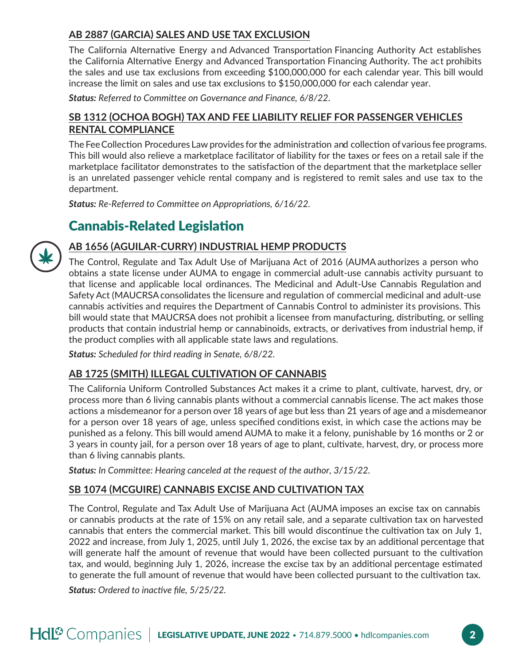#### **AB 2887 (GARCIA) SALES AND USE TAX EXCLUSION**

The California Alternative Energy and Advanced Transportation Financing Authority Act establishes the California Alternative Energy and Advanced Transportation Financing Authority. The act prohibits the sales and use tax exclusions from exceeding \$100,000,000 for each calendar year. This bill would increase the limit on sales and use tax exclusions to \$150,000,000 for each calendar year.

*Status: Referred to Committee on Governance and Finance, 6/8/22.*

#### **SB 1312 (OCHOA BOGH) TAX AND FEE LIABILITY RELIEF FOR PASSENGER VEHICLES RENTAL COMPLIANCE**

The Fee Collection Procedures Law provides for the administration and collection of various fee programs. This bill would also relieve a marketplace facilitator of liability for the taxes or fees on a retail sale if the marketplace facilitator demonstrates to the satisfaction of the department that the marketplace seller is an unrelated passenger vehicle rental company and is registered to remit sales and use tax to the department.

*Status: Re-Referred to Committee on Appropriations, 6/16/22.*

# Cannabis-Related Legislation

# **AB 1656 (AGUILAR-CURRY) INDUSTRIAL HEMP PRODUCTS**

The Control, Regulate and Tax Adult Use of Marijuana Act of 2016 (AUMA authorizes a person who obtains a state license under AUMA to engage in commercial adult-use cannabis activity pursuant to that license and applicable local ordinances. The Medicinal and Adult-Use Cannabis Regulation and Safety Act (MAUCRSA consolidates the licensure and regulation of commercial medicinal and adult-use cannabis activities and requires the Department of Cannabis Control to administer its provisions. This bill would state that MAUCRSA does not prohibit a licensee from manufacturing, distributing, or selling products that contain industrial hemp or cannabinoids, extracts, or derivatives from industrial hemp, if the product complies with all applicable state laws and regulations.

*Status: Scheduled for third reading in Senate, 6/8/22.*

#### **AB 1725 (SMITH) ILLEGAL CULTIVATION OF CANNABIS**

The California Uniform Controlled Substances Act makes it a crime to plant, cultivate, harvest, dry, or process more than 6 living cannabis plants without a commercial cannabis license. The act makes those actions a misdemeanor for a person over 18 years of age but less than 21 years of age and a misdemeanor for a person over 18 years of age, unless specified conditions exist, in which case the actions may be punished as a felony. This bill would amend AUMA to make it a felony, punishable by 16 months or 2 or 3 years in county jail, for a person over 18 years of age to plant, cultivate, harvest, dry, or process more than 6 living cannabis plants.

*Status: In Committee: Hearing canceled at the request of the author, 3/15/22.* 

#### **SB 1074 (MCGUIRE) CANNABIS EXCISE AND CULTIVATION TAX**

The Control, Regulate and Tax Adult Use of Marijuana Act (AUMA imposes an excise tax on cannabis or cannabis products at the rate of 15% on any retail sale, and a separate cultivation tax on harvested cannabis that enters the commercial market. This bill would discontinue the cultivation tax on July 1, 2022 and increase, from July 1, 2025, until July 1, 2026, the excise tax by an additional percentage that will generate half the amount of revenue that would have been collected pursuant to the cultivation tax, and would, beginning July 1, 2026, increase the excise tax by an additional percentage estimated to generate the full amount of revenue that would have been collected pursuant to the cultivation tax.

*Status: Ordered to inactive file, 5/25/22.*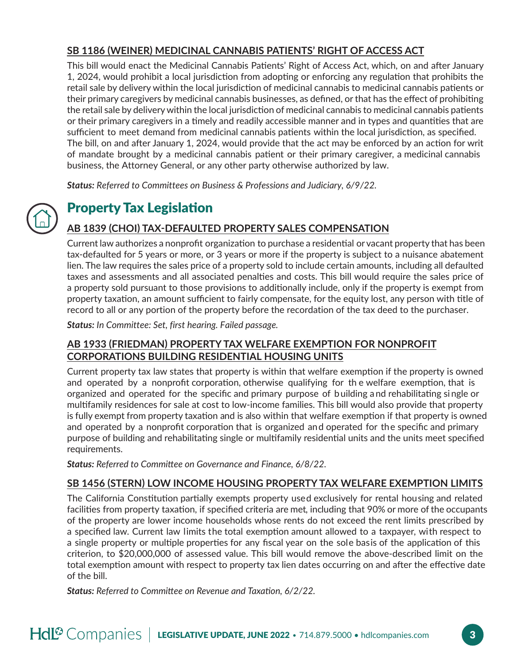### **SB 1186 (WEINER) MEDICINAL CANNABIS PATIENTS' RIGHT OF ACCESS ACT**

This bill would enact the Medicinal Cannabis Patients' Right of Access Act, which, on and after January 1, 2024, would prohibit a local jurisdiction from adopting or enforcing any regulation that prohibits the retail sale by delivery within the local jurisdiction of medicinal cannabis to medicinal cannabis patients or their primary caregivers by medicinal cannabis businesses, as defined, or that has the effect of prohibiting the retail sale by deliverywithin the local jurisdiction of medicinal cannabis to medicinal cannabis patients or their primary caregivers in a timely and readily accessible manner and in types and quantities that are sufficient to meet demand from medicinal cannabis patients within the local jurisdiction, as specified. The bill, on and after January 1, 2024, would provide that the act may be enforced by an action for writ of mandate brought by a medicinal cannabis patient or their primary caregiver, a medicinal cannabis business, the Attorney General, or any other party otherwise authorized by law.

*Status: Referred to Committees on Business & Professions and Judiciary, 6/9/22.*

# Property Tax Legislation

### **AB 1839 (CHOI) TAX-DEFAULTED PROPERTY SALES COMPENSATION**

Current law authorizes a nonprofit organization to purchase a residential or vacant property that has been tax-defaulted for 5 years or more, or 3 years or more if the property is subject to a nuisance abatement lien. The law requires the sales price of a property sold to include certain amounts, including all defaulted taxes and assessments and all associated penalties and costs. This bill would require the sales price of a property sold pursuant to those provisions to additionally include, only if the property is exempt from property taxation, an amount sufficient to fairly compensate, for the equity lost, any person with title of record to all or any portion of the property before the recordation of the tax deed to the purchaser.

*Status: In Committee: Set, first hearing. Failed passage.* 

#### **AB 1933 (FRIEDMAN) PROPERTY TAX WELFARE EXEMPTION FOR NONPROFIT CORPORATIONS BUILDING RESIDENTIAL HOUSING UNITS**

Current property tax law states that property is within that welfare exemption if the property is owned and operated by a nonprofit corporation, otherwise qualifying for th e welfare exemption, that is organized and operated for the specific and primary purpose of b uilding and rehabilitating single or multifamily residences for sale at cost to low-income families. This bill would also provide that property is fully exempt from property taxation and is also within that welfare exemption if that property is owned and operated by a nonprofit corporation that is organized and operated for the specific and primary purpose of building and rehabilitating single or multifamily residential units and the units meet specified requirements.

*Status: Referred to Committee on Governance and Finance, 6/8/22.*

#### **SB 1456 (STERN) LOW INCOME HOUSING PROPERTY TAX WELFARE EXEMPTION LIMITS**

The California Constitution partially exempts property used exclusively for rental housing and related facilities from property taxation, if specified criteria are met, including that 90% or more of the occupants of the property are lower income households whose rents do not exceed the rent limits prescribed by a specified law. Current law limits the total exemption amount allowed to a taxpayer, with respect to a single property or multiple properties for any fiscal year on the sole basis of the application of this criterion, to \$20,000,000 of assessed value. This bill would remove the above-described limit on the total exemption amount with respect to property tax lien dates occurring on and after the effective date of the bill.

*Status: Referred to Committee on Revenue and Taxation, 6/2/22.*